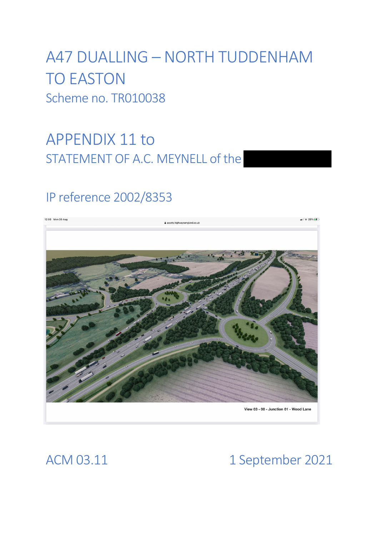# A47 DUALLING – NORTH TUDDENHAM TO EASTON Scheme no. TR010038

# APPENDIX 11 to STATEMENT OF A.C. MEYNELL of the

## IP reference 2002/8353



## ACM 03.11 1 September 2021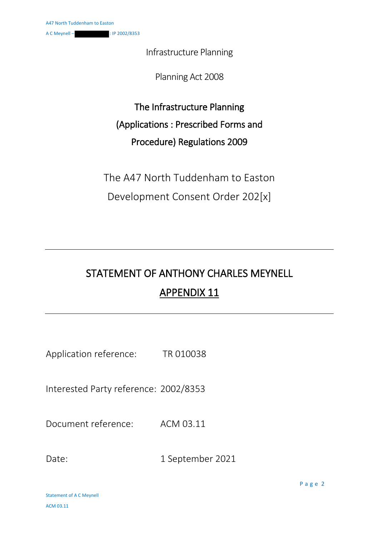Infrastructure Planning

Planning Act 2008

The Infrastructure Planning (Applications : Prescribed Forms and Procedure) Regulations 2009

The A47 North Tuddenham to Easton Development Consent Order 202[x]

## STATEMENT OF ANTHONY CHARLES MEYNELL APPENDIX 11

Application reference: TR 010038

Interested Party reference: 2002/8353

Document reference: ACM 03.11

Date: 1 September 2021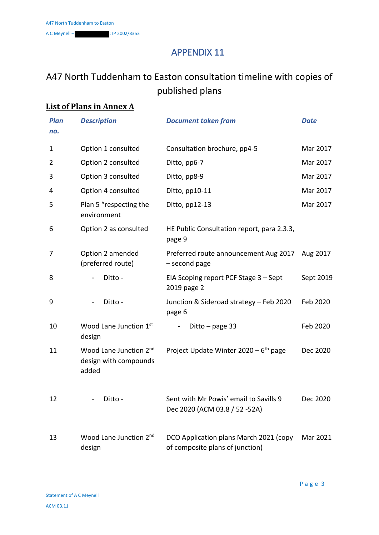### APPENDIX 11

### A47 North Tuddenham to Easton consultation timeline with copies of published plans

### **List of Plans in Annex A**

| <b>Plan</b><br>no. | <b>Description</b>                                       | <b>Document taken from</b>                                                | <b>Date</b> |
|--------------------|----------------------------------------------------------|---------------------------------------------------------------------------|-------------|
| 1                  | Option 1 consulted                                       | Consultation brochure, pp4-5                                              | Mar 2017    |
| 2                  | Option 2 consulted                                       | Ditto, pp6-7                                                              | Mar 2017    |
| 3                  | Option 3 consulted                                       | Ditto, pp8-9                                                              | Mar 2017    |
| 4                  | Option 4 consulted                                       | Ditto, pp10-11                                                            | Mar 2017    |
| 5                  | Plan 5 "respecting the<br>environment                    | Ditto, pp12-13                                                            | Mar 2017    |
| 6                  | Option 2 as consulted                                    | HE Public Consultation report, para 2.3.3,<br>page 9                      |             |
| 7                  | Option 2 amended<br>(preferred route)                    | Preferred route announcement Aug 2017 Aug 2017<br>- second page           |             |
| 8                  | Ditto -                                                  | EIA Scoping report PCF Stage 3 - Sept<br>2019 page 2                      | Sept 2019   |
| 9                  | Ditto -                                                  | Junction & Sideroad strategy - Feb 2020<br>page 6                         | Feb 2020    |
| 10                 | Wood Lane Junction 1st<br>design                         | Ditto $-$ page 33                                                         | Feb 2020    |
| 11                 | Wood Lane Junction 2nd<br>design with compounds<br>added | Project Update Winter 2020 - 6 <sup>th</sup> page                         | Dec 2020    |
| 12                 | Ditto -                                                  | Sent with Mr Powis' email to Savills 9<br>Dec 2020 (ACM 03.8 / 52 -52A)   | Dec 2020    |
| 13                 | Wood Lane Junction 2nd<br>design                         | DCO Application plans March 2021 (copy<br>of composite plans of junction) | Mar 2021    |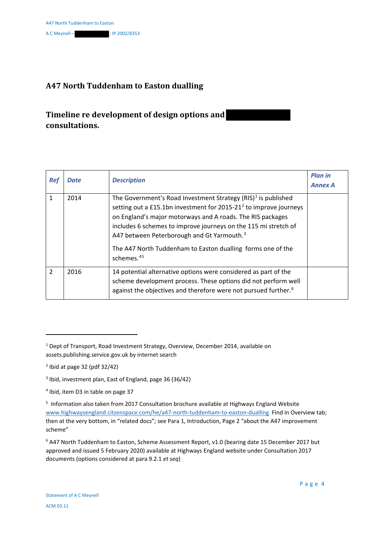#### **A47 North Tuddenham to Easton dualling**

#### **Timeline re development of design options and consultations.**

| <b>Ref</b>     | <b>Date</b> | <b>Description</b>                                                                                                                                                                                                                                                                                                                                                                                                                    | <b>Plan in</b><br><b>Annex A</b> |
|----------------|-------------|---------------------------------------------------------------------------------------------------------------------------------------------------------------------------------------------------------------------------------------------------------------------------------------------------------------------------------------------------------------------------------------------------------------------------------------|----------------------------------|
| 1              | 2014        | The Government's Road Investment Strategy $(RIS)^1$ is published<br>setting out a £15.1bn investment for 2015-21 <sup>2</sup> to improve journeys<br>on England's major motorways and A roads. The RIS packages<br>includes 6 schemes to improve journeys on the 115 mi stretch of<br>A47 between Peterborough and Gt Yarmouth. <sup>3</sup><br>The A47 North Tuddenham to Easton dualling forms one of the<br>schemes. <sup>45</sup> |                                  |
| $\overline{2}$ | 2016        | 14 potential alternative options were considered as part of the<br>scheme development process. These options did not perform well<br>against the objectives and therefore were not pursued further. <sup>6</sup>                                                                                                                                                                                                                      |                                  |

**.** 

- <sup>3</sup> Ibid, investment plan, East of England, page 36 (36/42)
- <sup>4</sup> Ibid, item D3 in table on page 37

<sup>6</sup> A47 North Tuddenham to Easton, Scheme Assessment Report, v1.0 (bearing date 15 December 2017 but approved and issued 5 February 2020) available at Highways England website under Consultation 2017 documents (options considered at para 9.2.1 *et seq*)

<sup>1</sup> Dept of Transport, Road Investment Strategy, Overview, December 2014, available on assets.publishing.service.gov.uk by internet search

 $<sup>2</sup>$  Ibid at page 32 (pdf 32/42)</sup>

<sup>&</sup>lt;sup>5</sup> Information also taken from 2017 Consultation brochure available at Highways England Website www.highwaysengland.citzenspace.com/he/a47-north-tuddenham-to-easton-dualling Find in Overview tab; then at the very bottom, in "related docs"; see Para 1, Introduction, Page 2 "about the A47 improvement scheme"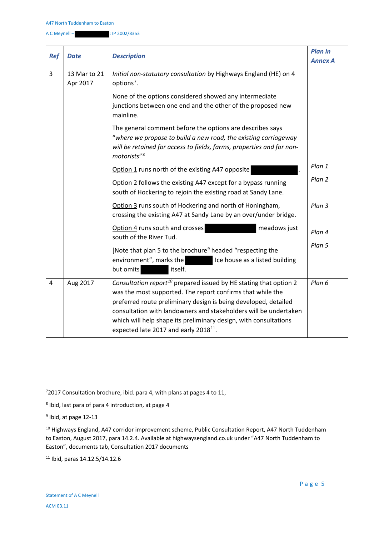| <b>Ref</b>     | <b>Date</b>              | <b>Description</b>                                                                                                                                                                                                                                                                                                                                                                                          | <b>Plan in</b><br><b>Annex A</b> |
|----------------|--------------------------|-------------------------------------------------------------------------------------------------------------------------------------------------------------------------------------------------------------------------------------------------------------------------------------------------------------------------------------------------------------------------------------------------------------|----------------------------------|
| 3              | 13 Mar to 21<br>Apr 2017 | Initial non-statutory consultation by Highways England (HE) on 4<br>options <sup>7</sup> .<br>None of the options considered showed any intermediate<br>junctions between one end and the other of the proposed new<br>mainline.                                                                                                                                                                            |                                  |
|                |                          | The general comment before the options are describes says<br>"where we propose to build a new road, the existing carriageway<br>will be retained for access to fields, farms, properties and for non-<br>motorists" <sup>8</sup>                                                                                                                                                                            |                                  |
|                |                          | Option 1 runs north of the existing A47 opposite                                                                                                                                                                                                                                                                                                                                                            | Plan 1                           |
|                |                          | Option 2 follows the existing A47 except for a bypass running<br>south of Hockering to rejoin the existing road at Sandy Lane.                                                                                                                                                                                                                                                                              | Plan 2                           |
|                |                          | Option 3 runs south of Hockering and north of Honingham,<br>crossing the existing A47 at Sandy Lane by an over/under bridge.                                                                                                                                                                                                                                                                                | Plan 3                           |
|                |                          | Option 4 runs south and crosses<br>meadows just<br>south of the River Tud.                                                                                                                                                                                                                                                                                                                                  | Plan 4                           |
|                |                          | [Note that plan 5 to the brochure <sup>9</sup> headed "respecting the<br>environment", marks the<br>Ice house as a listed building<br>but omits<br>itself.                                                                                                                                                                                                                                                  | Plan 5                           |
| $\overline{4}$ | Aug 2017                 | Consultation report <sup>10</sup> prepared issued by HE stating that option 2<br>was the most supported. The report confirms that while the<br>preferred route preliminary design is being developed, detailed<br>consultation with landowners and stakeholders will be undertaken<br>which will help shape its preliminary design, with consultations<br>expected late 2017 and early 2018 <sup>11</sup> . | Plan 6                           |

**.** 

<sup>11</sup> Ibid, paras 14.12.5/14.12.6

 $72017$  Consultation brochure, ibid. para 4, with plans at pages 4 to 11,

<sup>8</sup> Ibid, last para of para 4 introduction, at page 4

 $9$  Ibid, at page 12-13

<sup>&</sup>lt;sup>10</sup> Highways England, A47 corridor improvement scheme, Public Consultation Report, A47 North Tuddenham to Easton, August 2017, para 14.2.4. Available at highwaysengland.co.uk under "A47 North Tuddenham to Easton", documents tab, Consultation 2017 documents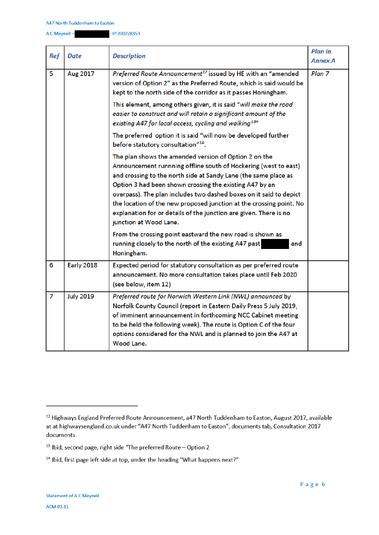A C Meynell -

| <b>Ref</b>     | Date             | <b>Description</b>                                                                                                                                                                                                                                                                                                                                                                                                                                                                                 | <b>Plan in</b><br><b>Annex A</b> |
|----------------|------------------|----------------------------------------------------------------------------------------------------------------------------------------------------------------------------------------------------------------------------------------------------------------------------------------------------------------------------------------------------------------------------------------------------------------------------------------------------------------------------------------------------|----------------------------------|
| 5              | Aug 2017         | Preferred Route Announcement <sup>12</sup> issued by HE with an "amended<br>version of Option 2" as the Preferred Route, which is said would be<br>kept to the north side of the corridor as it passes Honingham.<br>This element, among others given, it is said "will make the road<br>easier to construct and will retain a significant amount of the<br>existing A47 for local access, cycling and walking <sup>13</sup> "                                                                     | Plan <sub>7</sub>                |
|                |                  | The preferred option it is said "will now be developed further<br>before statutory consultation" <sup>14</sup> .                                                                                                                                                                                                                                                                                                                                                                                   |                                  |
|                |                  | The plan shows the amended version of Option 2 on the<br>Announcement runnning offline south of Hockering (west to east)<br>and crossing to the north side at Sandy Lane (the same place as<br>Option 3 had been shown crossing the existing A47 by an<br>overpass). The plan includes two dashed boxes on it said to depict<br>the location of the new proposed junction at the crossing point. No<br>explanation for or details of the junction are given. There is no<br>junction at Wood Lane. |                                  |
|                |                  | From the crossing point eastward the new road is shown as<br>running closely to the north of the existing A47 past<br>and<br>Honingham.                                                                                                                                                                                                                                                                                                                                                            |                                  |
| 6              | Early 2018       | Expected period for statutory consultation as per preferred route<br>announcement. No more consultation takes place until Feb 2020<br>(see below, item 12)                                                                                                                                                                                                                                                                                                                                         |                                  |
| $\overline{7}$ | <b>July 2019</b> | Preferred route for Norwich Western Link (NWL) announced by<br>Norfolk County Council (report in Eastern Daily Press 5 July 2019,<br>of imminent announcement in forthcoming NCC Cabinet meeting<br>to be held the following week). The route is Option C of the four<br>options considered for the NWL and is planned to join the A47 at<br>Wood Lane.                                                                                                                                            |                                  |

<sup>&</sup>lt;sup>12</sup> Highways England Preferred Route Announcement, a47 North Tuddenham to Easton, August 2017, available at at highwaysengland.co.uk under "A47 North Tuddenham to Easton", documents tab, Consultation 2017 documents

 $13$  Ibid, second page, right side "The preferred Route - Option 2

<sup>&</sup>lt;sup>14</sup> Ibid, first page left side at top, under the heading "What happens next?"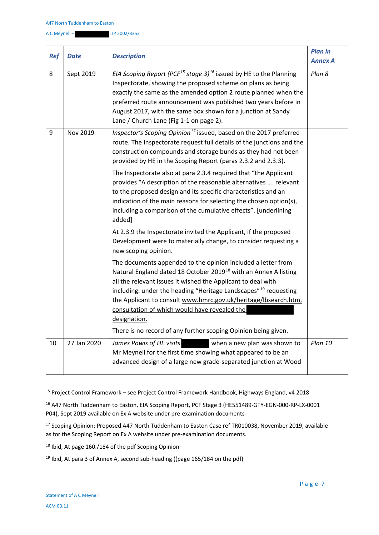| <b>Ref</b> | <b>Date</b> | <b>Description</b>                                                                                                                                                                                                                                                                                                                                                                                                                                                                               | <b>Plan in</b><br><b>Annex A</b> |
|------------|-------------|--------------------------------------------------------------------------------------------------------------------------------------------------------------------------------------------------------------------------------------------------------------------------------------------------------------------------------------------------------------------------------------------------------------------------------------------------------------------------------------------------|----------------------------------|
| 8          | Sept 2019   | EIA Scoping Report (PCF <sup>15</sup> stage 3) <sup>16</sup> issued by HE to the Planning<br>Inspectorate, showing the proposed scheme on plans as being<br>exactly the same as the amended option 2 route planned when the<br>preferred route announcement was published two years before in<br>August 2017, with the same box shown for a junction at Sandy<br>Lane / Church Lane (Fig 1-1 on page 2).                                                                                         | Plan 8                           |
| 9          | Nov 2019    | Inspector's Scoping Opinion <sup>17</sup> issued, based on the 2017 preferred<br>route. The Inspectorate request full details of the junctions and the<br>construction compounds and storage bunds as they had not been<br>provided by HE in the Scoping Report (paras 2.3.2 and 2.3.3).                                                                                                                                                                                                         |                                  |
|            |             | The Inspectorate also at para 2.3.4 required that "the Applicant<br>provides "A description of the reasonable alternatives  relevant<br>to the proposed design and its specific characteristics and an<br>indication of the main reasons for selecting the chosen option(s),<br>including a comparison of the cumulative effects". [underlining<br>added]                                                                                                                                        |                                  |
|            |             | At 2.3.9 the Inspectorate invited the Applicant, if the proposed<br>Development were to materially change, to consider requesting a<br>new scoping opinion.                                                                                                                                                                                                                                                                                                                                      |                                  |
|            |             | The documents appended to the opinion included a letter from<br>Natural England dated 18 October 2019 <sup>18</sup> with an Annex A listing<br>all the relevant issues it wished the Applicant to deal with<br>including. under the heading "Heritage Landscapes" <sup>19</sup> requesting<br>the Applicant to consult www.hmrc.gov.uk/heritage/lbsearch.htm,<br>consultation of which would have revealed the<br>designation.<br>There is no record of any further scoping Opinion being given. |                                  |
| 10         | 27 Jan 2020 | James Powis of HE visits<br>when a new plan was shown to<br>Mr Meynell for the first time showing what appeared to be an<br>advanced design of a large new grade-separated junction at Wood                                                                                                                                                                                                                                                                                                      | Plan 10                          |

<sup>15</sup> Project Control Framework – see Project Control Framework Handbook, Highways England, v4 2018

<sup>16</sup> A47 North Tuddenham to Easton, EIA Scoping Report, PCF Stage 3 (HE551489-GTY-EGN-000-RP-LX-0001 P04), Sept 2019 available on Ex A website under pre-examination documents

<sup>17</sup> Scoping Opinion: Proposed A47 North Tuddenham to Easton Case ref TR010038, November 2019, available as for the Scoping Report on Ex A website under pre-examination documents.

<sup>18</sup> Ibid, At page 160./184 of the pdf Scoping Opinion

<sup>19</sup> Ibid, At para 3 of Annex A, second sub-heading ((page 165/184 on the pdf)

**.**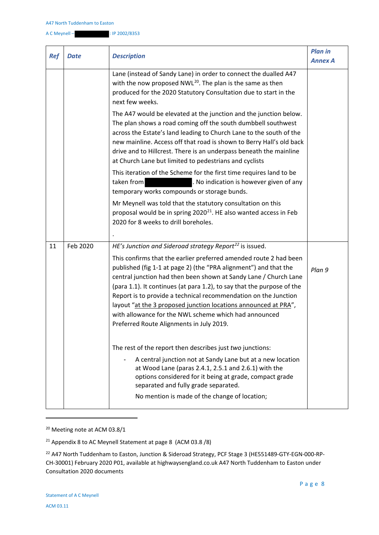| <b>Ref</b> | <b>Date</b> | <b>Description</b>                                                                                                                                                                                                                                                                                                                                                                                                                                                                                                             | <b>Plan in</b><br><b>Annex A</b> |
|------------|-------------|--------------------------------------------------------------------------------------------------------------------------------------------------------------------------------------------------------------------------------------------------------------------------------------------------------------------------------------------------------------------------------------------------------------------------------------------------------------------------------------------------------------------------------|----------------------------------|
|            |             | Lane (instead of Sandy Lane) in order to connect the dualled A47<br>with the now proposed $NWL^{20}$ . The plan is the same as then<br>produced for the 2020 Statutory Consultation due to start in the<br>next few weeks.                                                                                                                                                                                                                                                                                                     |                                  |
|            |             | The A47 would be elevated at the junction and the junction below.<br>The plan shows a road coming off the south dumbbell southwest<br>across the Estate's land leading to Church Lane to the south of the<br>new mainline. Access off that road is shown to Berry Hall's old back<br>drive and to Hillcrest. There is an underpass beneath the mainline<br>at Church Lane but limited to pedestrians and cyclists                                                                                                              |                                  |
|            |             | This iteration of the Scheme for the first time requires land to be<br>taken from<br>. No indication is however given of any<br>temporary works compounds or storage bunds.                                                                                                                                                                                                                                                                                                                                                    |                                  |
|            |             | Mr Meynell was told that the statutory consultation on this<br>proposal would be in spring $2020^{21}$ . HE also wanted access in Feb<br>2020 for 8 weeks to drill boreholes.                                                                                                                                                                                                                                                                                                                                                  |                                  |
| 11         | Feb 2020    | HE's Junction and Sideroad strategy Report <sup>22</sup> is issued.                                                                                                                                                                                                                                                                                                                                                                                                                                                            |                                  |
|            |             | This confirms that the earlier preferred amended route 2 had been<br>published (fig 1-1 at page 2) (the "PRA alignment") and that the<br>central junction had then been shown at Sandy Lane / Church Lane<br>(para 1.1). It continues (at para 1.2), to say that the purpose of the<br>Report is to provide a technical recommendation on the Junction<br>layout "at the 3 proposed junction locations announced at PRA",<br>with allowance for the NWL scheme which had announced<br>Preferred Route Alignments in July 2019. | Plan 9                           |
|            |             | The rest of the report then describes just two junctions:<br>A central junction not at Sandy Lane but at a new location<br>at Wood Lane (paras 2.4.1, 2.5.1 and 2.6.1) with the<br>options considered for it being at grade, compact grade<br>separated and fully grade separated.<br>No mention is made of the change of location;                                                                                                                                                                                            |                                  |

<sup>20</sup> Meeting note at ACM 03.8/1

<sup>21</sup> Appendix 8 to AC Meynell Statement at page 8 (ACM 03.8 /8)

<sup>22</sup> A47 North Tuddenham to Easton, Junction & Sideroad Strategy, PCF Stage 3 (HE551489-GTY-EGN-000-RP-CH-30001) February 2020 P01, available at highwaysengland.co.uk A47 North Tuddenham to Easton under Consultation 2020 documents

1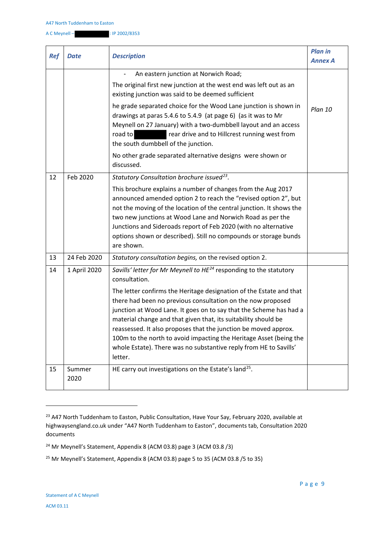A C Meynell – : IP 2002/8353

| <b>Ref</b> | Date           | <b>Description</b>                                                                                                                                                                                                                                                                                                                                                                                                                                                                                                                                                                                     | <b>Plan in</b><br><b>Annex A</b> |
|------------|----------------|--------------------------------------------------------------------------------------------------------------------------------------------------------------------------------------------------------------------------------------------------------------------------------------------------------------------------------------------------------------------------------------------------------------------------------------------------------------------------------------------------------------------------------------------------------------------------------------------------------|----------------------------------|
|            |                | An eastern junction at Norwich Road;<br>The original first new junction at the west end was left out as an<br>existing junction was said to be deemed sufficient                                                                                                                                                                                                                                                                                                                                                                                                                                       |                                  |
|            |                | he grade separated choice for the Wood Lane junction is shown in<br>drawings at paras 5.4.6 to 5.4.9 (at page 6) (as it was to Mr<br>Meynell on 27 January) with a two-dumbbell layout and an access<br>rear drive and to Hillcrest running west from<br>road to<br>the south dumbbell of the junction.                                                                                                                                                                                                                                                                                                | Plan 10                          |
|            |                | No other grade separated alternative designs were shown or<br>discussed.                                                                                                                                                                                                                                                                                                                                                                                                                                                                                                                               |                                  |
| 12         | Feb 2020       | Statutory Consultation brochure issued <sup>23</sup> .<br>This brochure explains a number of changes from the Aug 2017<br>announced amended option 2 to reach the "revised option 2", but<br>not the moving of the location of the central junction. It shows the<br>two new junctions at Wood Lane and Norwich Road as per the<br>Junctions and Sideroads report of Feb 2020 (with no alternative<br>options shown or described). Still no compounds or storage bunds<br>are shown.                                                                                                                   |                                  |
| 13         | 24 Feb 2020    | Statutory consultation begins, on the revised option 2.                                                                                                                                                                                                                                                                                                                                                                                                                                                                                                                                                |                                  |
| 14         | 1 April 2020   | Savills' letter for Mr Meynell to HE <sup>24</sup> responding to the statutory<br>consultation.<br>The letter confirms the Heritage designation of the Estate and that<br>there had been no previous consultation on the now proposed<br>junction at Wood Lane. It goes on to say that the Scheme has had a<br>material change and that given that, its suitability should be<br>reassessed. It also proposes that the junction be moved approx.<br>100m to the north to avoid impacting the Heritage Asset (being the<br>whole Estate). There was no substantive reply from HE to Savills'<br>letter. |                                  |
| 15         | Summer<br>2020 | HE carry out investigations on the Estate's land <sup>25</sup> .                                                                                                                                                                                                                                                                                                                                                                                                                                                                                                                                       |                                  |

<sup>&</sup>lt;sup>23</sup> A47 North Tuddenham to Easton, Public Consultation, Have Your Say, February 2020, available at highwaysengland.co.uk under "A47 North Tuddenham to Easton", documents tab, Consultation 2020 documents

**.** 

<sup>&</sup>lt;sup>24</sup> Mr Meynell's Statement, Appendix 8 (ACM 03.8) page 3 (ACM 03.8 /3)

<sup>&</sup>lt;sup>25</sup> Mr Meynell's Statement, Appendix 8 (ACM 03.8) page 5 to 35 (ACM 03.8 /5 to 35)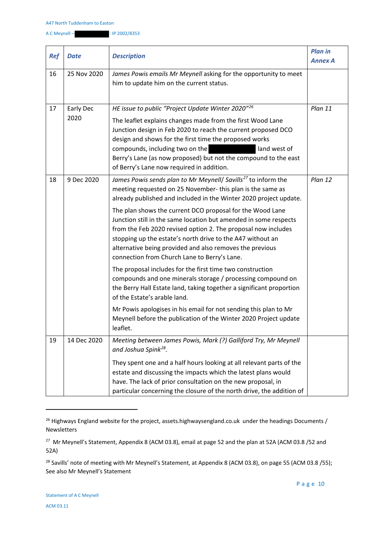| <b>Ref</b> | <b>Date</b>       | <b>Description</b>                                                                                                                                                                                                                                                                                                                                                                                                                                                                                                                                                                                                                                                                                                                                                                                                                                                                                                                                                              | <b>Plan in</b><br><b>Annex A</b> |
|------------|-------------------|---------------------------------------------------------------------------------------------------------------------------------------------------------------------------------------------------------------------------------------------------------------------------------------------------------------------------------------------------------------------------------------------------------------------------------------------------------------------------------------------------------------------------------------------------------------------------------------------------------------------------------------------------------------------------------------------------------------------------------------------------------------------------------------------------------------------------------------------------------------------------------------------------------------------------------------------------------------------------------|----------------------------------|
| 16         | 25 Nov 2020       | James Powis emails Mr Meynell asking for the opportunity to meet<br>him to update him on the current status.                                                                                                                                                                                                                                                                                                                                                                                                                                                                                                                                                                                                                                                                                                                                                                                                                                                                    |                                  |
| 17         | Early Dec<br>2020 | HE issue to public "Project Update Winter 2020"26<br>The leaflet explains changes made from the first Wood Lane<br>Junction design in Feb 2020 to reach the current proposed DCO<br>design and shows for the first time the proposed works<br>compounds, including two on the<br>land west of<br>Berry's Lane (as now proposed) but not the compound to the east<br>of Berry's Lane now required in addition.                                                                                                                                                                                                                                                                                                                                                                                                                                                                                                                                                                   | Plan 11                          |
| 18         | 9 Dec 2020        | James Powis sends plan to Mr Meynell/ Savills <sup>27</sup> to inform the<br>meeting requested on 25 November-this plan is the same as<br>already published and included in the Winter 2020 project update.<br>The plan shows the current DCO proposal for the Wood Lane<br>Junction still in the same location but amended in some respects<br>from the Feb 2020 revised option 2. The proposal now includes<br>stopping up the estate's north drive to the A47 without an<br>alternative being provided and also removes the previous<br>connection from Church Lane to Berry's Lane.<br>The proposal includes for the first time two construction<br>compounds and one minerals storage / processing compound on<br>the Berry Hall Estate land, taking together a significant proportion<br>of the Estate's arable land.<br>Mr Powis apologises in his email for not sending this plan to Mr<br>Meynell before the publication of the Winter 2020 Project update<br>leaflet. | Plan 12                          |
| 19         | 14 Dec 2020       | Meeting between James Powis, Mark (?) Galliford Try, Mr Meynell<br>and Joshua Spink <sup>28</sup> .<br>They spent one and a half hours looking at all relevant parts of the<br>estate and discussing the impacts which the latest plans would<br>have. The lack of prior consultation on the new proposal, in<br>particular concerning the closure of the north drive, the addition of                                                                                                                                                                                                                                                                                                                                                                                                                                                                                                                                                                                          |                                  |

<sup>26</sup> Highways England website for the project, assets.highwaysengland.co.uk under the headings Documents / Newsletters

<sup>27</sup> Mr Meynell's Statement, Appendix 8 (ACM 03.8), email at page 52 and the plan at 52A (ACM 03.8 /52 and 52A)

<sup>28</sup> Savills' note of meeting with Mr Meynell's Statement, at Appendix 8 (ACM 03.8), on page 55 (ACM 03.8 /55); See also Mr Meynell's Statement

**.**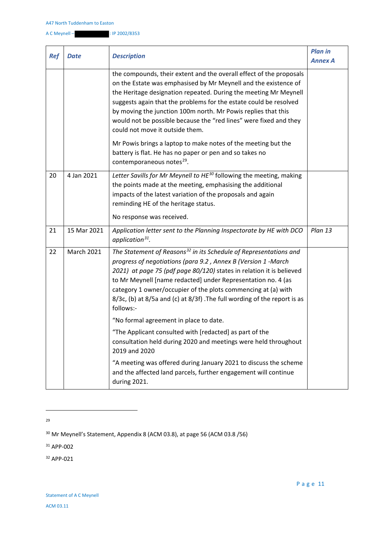| <b>Ref</b> | Date              | <b>Description</b>                                                                                                                                                                                                                                                                                                                                                                                                                                       | <b>Plan in</b><br><b>Annex A</b> |
|------------|-------------------|----------------------------------------------------------------------------------------------------------------------------------------------------------------------------------------------------------------------------------------------------------------------------------------------------------------------------------------------------------------------------------------------------------------------------------------------------------|----------------------------------|
|            |                   | the compounds, their extent and the overall effect of the proposals<br>on the Estate was emphasised by Mr Meynell and the existence of<br>the Heritage designation repeated. During the meeting Mr Meynell<br>suggests again that the problems for the estate could be resolved<br>by moving the junction 100m north. Mr Powis replies that this<br>would not be possible because the "red lines" were fixed and they<br>could not move it outside them. |                                  |
|            |                   | Mr Powis brings a laptop to make notes of the meeting but the<br>battery is flat. He has no paper or pen and so takes no<br>contemporaneous notes <sup>29</sup> .                                                                                                                                                                                                                                                                                        |                                  |
| 20         | 4 Jan 2021        | Letter Savills for Mr Meynell to HE <sup>30</sup> following the meeting, making<br>the points made at the meeting, emphasising the additional<br>impacts of the latest variation of the proposals and again<br>reminding HE of the heritage status.<br>No response was received.                                                                                                                                                                         |                                  |
| 21         | 15 Mar 2021       | Application letter sent to the Planning Inspectorate by HE with DCO<br>application $31$ .                                                                                                                                                                                                                                                                                                                                                                | Plan 13                          |
| 22         | <b>March 2021</b> | The Statement of Reasons <sup>32</sup> in its Schedule of Representations and<br>progress of negotiations (para 9.2, Annex B (Version 1 -March<br>2021) at page 75 (pdf page 80/120) states in relation it is believed<br>to Mr Meynell [name redacted] under Representation no. 4 (as<br>category 1 owner/occupier of the plots commencing at (a) with<br>8/3c, (b) at 8/5a and (c) at 8/3f) . The full wording of the report is as<br>follows:-        |                                  |
|            |                   | "No formal agreement in place to date.                                                                                                                                                                                                                                                                                                                                                                                                                   |                                  |
|            |                   | "The Applicant consulted with [redacted] as part of the<br>consultation held during 2020 and meetings were held throughout<br>2019 and 2020                                                                                                                                                                                                                                                                                                              |                                  |
|            |                   | "A meeting was offered during January 2021 to discuss the scheme<br>and the affected land parcels, further engagement will continue<br>during 2021.                                                                                                                                                                                                                                                                                                      |                                  |

1 29

<sup>30</sup> Mr Meynell's Statement, Appendix 8 (ACM 03.8), at page 56 (ACM 03.8 /56)

<sup>31</sup> APP-002

<sup>32</sup> APP-021